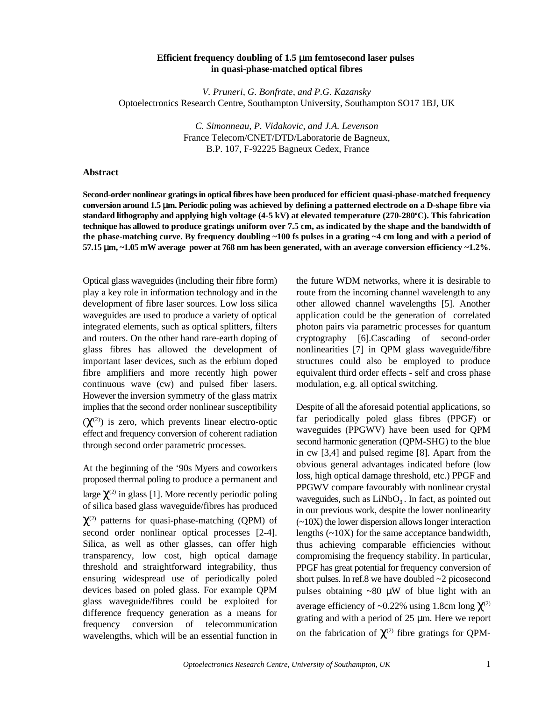## **Efficient frequency doubling of 1.5** μ**m femtosecond laser pulses in quasi-phase-matched optical fibres**

*V. Pruneri, G. Bonfrate, and P.G. Kazansky* Optoelectronics Research Centre, Southampton University, Southampton SO17 1BJ, UK

> *C. Simonneau, P. Vidakovic, and J.A. Levenson* France Telecom/CNET/DTD/Laboratorie de Bagneux, B.P. 107, F-92225 Bagneux Cedex, France

## **Abstract**

**Second-order nonlinear gratings in optical fibres have been produced for efficient quasi-phase-matched frequency conversion around 1.5** μ**m. Periodic poling was achieved by defining a patterned electrode on a D-shape fibre via standard lithography and applying high voltage (4-5 kV) at elevated temperature (270-280 C). This fabrication <sup>o</sup> technique has allowed to produce gratings uniform over 7.5 cm, as indicated by the shape and the bandwidth of the phase-matching curve. By frequency doubling ~100 fs pulses in a grating ~4 cm long and with a period of 57.15** μ**m, ~1.05 mW average power at 768 nm has been generated, with an average conversion efficiency ~1.2%.**

Optical glass waveguides (including their fibre form) the future WDM networks, where it is desirable to play a key role in information technology and in the route from the incoming channel wavelength to any development of fibre laser sources. Low loss silica other allowed channel wavelengths [5]. Another waveguides are used to produce a variety of optical application could be the generation of correlated integrated elements, such as optical splitters, filters photon pairs via parametric processes for quantum and routers. On the other hand rare-earth doping of cryptography [6].Cascading of second-order glass fibres has allowed the development of nonlinearities [7] in QPM glass waveguide/fibre important laser devices, such as the erbium doped structures could also be employed to produce fibre amplifiers and more recently high power equivalent third order effects - self and cross phase continuous wave (cw) and pulsed fiber lasers. modulation, e.g. all optical switching. However the inversion symmetry of the glass matrix implies that the second order nonlinear susceptibility Despite of all the aforesaid potential applications, so  $(\chi^{(2)})$  is zero, which prevents linear electro-optic effect and frequency conversion of coherent radiation through second order parametric processes.

At the beginning of the '90s Myers and coworkers proposed thermal poling to produce a permanent and large  $\chi^{(2)}$  in glass [1]. More recently periodic poling of silica based glass waveguide/fibres has produced  $\chi^{(2)}$  patterns for quasi-phase-matching (QPM) of second order nonlinear optical processes [2-4]. Silica, as well as other glasses, can offer high transparency, low cost, high optical damage threshold and straightforward integrability, thus ensuring widespread use of periodically poled devices based on poled glass. For example QPM glass waveguide/fibres could be exploited for difference frequency generation as a means for frequency conversion of telecommunication wavelengths, which will be an essential function in

far periodically poled glass fibres (PPGF) or waveguides (PPGWV) have been used for QPM second harmonic generation (QPM-SHG) to the blue in cw [3,4] and pulsed regime [8]. Apart from the obvious general advantages indicated before (low loss, high optical damage threshold, etc.) PPGF and PPGWV compare favourably with nonlinear crystal waveguides, such as  $LiNbO<sub>3</sub>$ . In fact, as pointed out in our previous work, despite the lower nonlinearity (~10X) the lower dispersion allows longer interaction lengths  $(\sim 10X)$  for the same acceptance bandwidth, thus achieving comparable efficiencies without compromising the frequency stability. In particular, PPGF has great potential for frequency conversion of short pulses. In ref.8 we have doubled  $\sim$ 2 picosecond pulses obtaining  $\sim 80$   $\mu$ W of blue light with an average efficiency of ~0.22% using 1.8cm long  $\chi$ <sup>(2)</sup> grating and with a period of 25 μm. Here we report on the fabrication of  $\chi^{(2)}$  fibre gratings for QPM-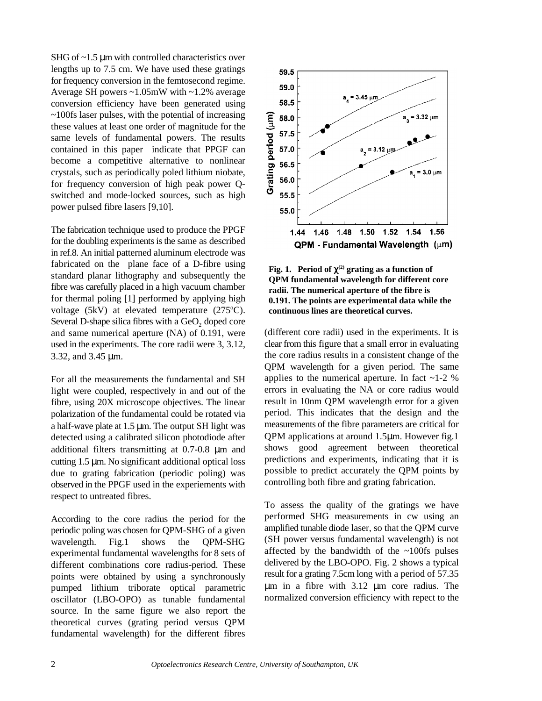SHG of ~1.5 μm with controlled characteristics over lengths up to 7.5 cm. We have used these gratings for frequency conversion in the femtosecond regime. Average SH powers ~1.05mW with ~1.2% average conversion efficiency have been generated using  $\sim$ 100fs laser pulses, with the potential of increasing these values at least one order of magnitude for the same levels of fundamental powers. The results contained in this paper indicate that PPGF can become a competitive alternative to nonlinear crystals, such as periodically poled lithium niobate, for frequency conversion of high peak power Qswitched and mode-locked sources, such as high power pulsed fibre lasers [9,10].

The fabrication technique used to produce the PPGF for the doubling experiments is the same as described in ref.8. An initial patterned aluminum electrode was fabricated on the plane face of a D-fibre using standard planar lithography and subsequently the fibre was carefully placed in a high vacuum chamber for thermal poling [1] performed by applying high voltage  $(5kV)$  at elevated temperature  $(275^{\circ}C)$ . Several D-shape silica fibres with a  $GeO<sub>2</sub>$  doped core and same numerical aperture (NA) of 0.191, were used in the experiments. The core radii were 3, 3.12, 3.32, and 3.45 μm.

For all the measurements the fundamental and SH light were coupled, respectively in and out of the fibre, using 20X microscope objectives. The linear polarization of the fundamental could be rotated via a half-wave plate at 1.5 μm. The output SH light was detected using a calibrated silicon photodiode after additional filters transmitting at 0.7-0.8 μm and cutting 1.5 μm. No significant additional optical loss due to grating fabrication (periodic poling) was observed in the PPGF used in the experiements with respect to untreated fibres.

According to the core radius the period for the periodic poling was chosen for QPM-SHG of a given wavelength. Fig.1 shows the OPM-SHG experimental fundamental wavelengths for 8 sets of different combinations core radius-period. These points were obtained by using a synchronously pumped lithium triborate optical parametric oscillator (LBO-OPO) as tunable fundamental source. In the same figure we also report the theoretical curves (grating period versus QPM fundamental wavelength) for the different fibres



**Fig. 1.** Period of  $\chi^{(2)}$  grating as a function of **QPM fundamental wavelength for different core radii. The numerical aperture of the fibre is 0.191. The points are experimental data while the continuous lines are theoretical curves.**

(different core radii) used in the experiments. It is clear from this figure that a small error in evaluating the core radius results in a consistent change of the QPM wavelength for a given period. The same applies to the numerical aperture. In fact  $\sim$  1-2 % errors in evaluating the NA or core radius would result in 10nm QPM wavelength error for a given period. This indicates that the design and the measurements of the fibre parameters are critical for QPM applications at around 1.5μm. However fig.1 shows good agreement between theoretical predictions and experiments, indicating that it is possible to predict accurately the QPM points by controlling both fibre and grating fabrication.

To assess the quality of the gratings we have performed SHG measurements in cw using an amplified tunable diode laser, so that the QPM curve (SH power versus fundamental wavelength) is not affected by the bandwidth of the ~100fs pulses delivered by the LBO-OPO. Fig. 2 shows a typical result for a grating 7.5cm long with a period of 57.35 μm in a fibre with 3.12 μm core radius. The normalized conversion efficiency with repect to the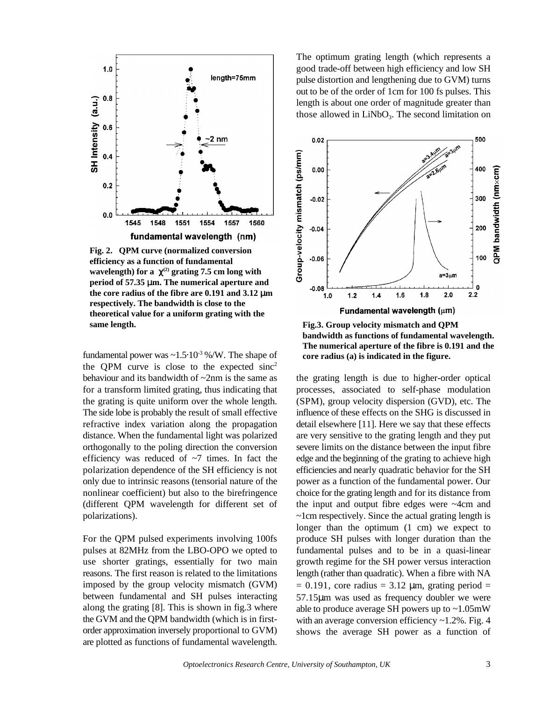

**Fig. 2. QPM curve (normalized conversion efficiency as a function of fundamental wavelength)** for a  $\chi^{(2)}$  grating 7.5 cm long with **period of 57.35** μ**m. The numerical aperture and the core radius of the fibre are 0.191 and 3.12** μ**m respectively. The bandwidth is close to the theoretical value for a uniform grating with the Fig.3. Group velocity mismatch and QPM** 

fundamental power was  $\sim 1.5 \cdot 10^{-3}$  %/W. The shape of **core radius (a) is indicated in the figure.** the QPM curve is close to the expected  $\text{sinc}^2$ 

imposed by the group velocity mismatch (GVM) between fundamental and SH pulses interacting along the grating [8]. This is shown in fig.3 where the GVM and the QPM bandwidth (which is in firstorder approximation inversely proportional to GVM) are plotted as functions of fundamental wavelength.

The optimum grating length (which represents a good trade-off between high efficiency and low SH pulse distortion and lengthening due to GVM) turns out to be of the order of 1cm for 100 fs pulses. This length is about one order of magnitude greater than those allowed in  $LiNbO<sub>3</sub>$ . The second limitation on



**bandwidth as functions of fundamental wavelength. The numerical aperture of the fibre is 0.191 and the**

behaviour and its bandwidth of  $\sim$ 2nm is the same as the grating length is due to higher-order optical for a transform limited grating, thus indicating that processes, associated to self-phase modulation the grating is quite uniform over the whole length. (SPM), group velocity dispersion (GVD), etc. The The side lobe is probably the result of small effective influence of these effects on the SHG is discussed in refractive index variation along the propagation detail elsewhere [11]. Here we say that these effects distance. When the fundamental light was polarized are very sensitive to the grating length and they put orthogonally to the poling direction the conversion severe limits on the distance between the input fibre efficiency was reduced of  $\sim$ 7 times. In fact the edge and the beginning of the grating to achieve high polarization dependence of the SH efficiency is not efficiencies and nearly quadratic behavior for the SH only due to intrinsic reasons (tensorial nature of the power as a function of the fundamental power. Our nonlinear coefficient) but also to the birefringence choice for the grating length and for its distance from (different QPM wavelength for different set of the input and output fibre edges were ~4cm and polarizations). ~1cm respectively. Since the actual grating length is For the QPM pulsed experiments involving 100fs produce SH pulses with longer duration than the pulses at 82MHz from the LBO-OPO we opted to fundamental pulses and to be in a quasi-linear use shorter gratings, essentially for two main growth regime for the SH power versus interaction reasons. The first reason is related to the limitations length (rather than quadratic). When a fibre with NA longer than the optimum (1 cm) we expect to  $= 0.191$ , core radius  $= 3.12$  µm, grating period  $=$ 57.15μm was used as frequency doubler we were able to produce average SH powers up to ~1.05mW with an average conversion efficiency  $\sim$ 1.2%. Fig. 4 shows the average SH power as a function of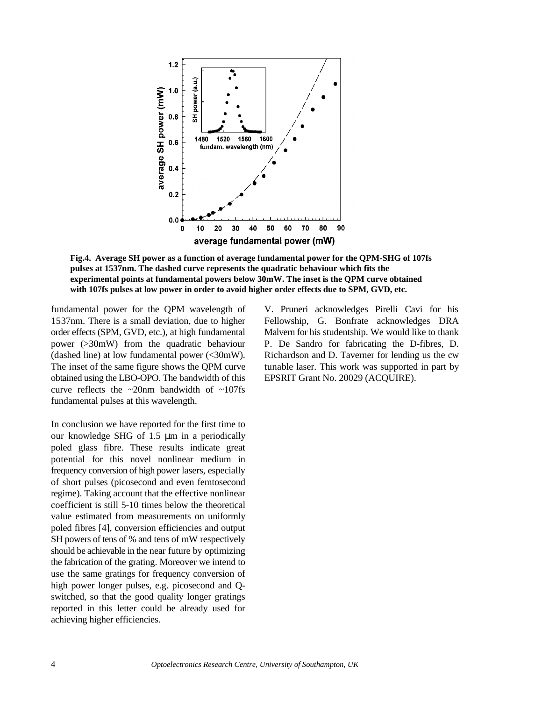

**Fig.4. Average SH power as a function of average fundamental power for the QPM-SHG of 107fs pulses at 1537nm. The dashed curve represents the quadratic behaviour which fits the experimental points at fundamental powers below 30mW. The inset is the QPM curve obtained with 107fs pulses at low power in order to avoid higher order effects due to SPM, GVD, etc.**

fundamental power for the QPM wavelength of V. Pruneri acknowledges Pirelli Cavi for his obtained using the LBO-OPO. The bandwidth of this EPSRIT Grant No. 20029 (ACQUIRE). curve reflects the ~20nm bandwidth of ~107fs fundamental pulses at this wavelength.

In conclusion we have reported for the first time to our knowledge SHG of 1.5 μm in a periodically poled glass fibre. These results indicate great potential for this novel nonlinear medium in frequency conversion of high power lasers, especially of short pulses (picosecond and even femtosecond regime). Taking account that the effective nonlinear coefficient is still 5-10 times below the theoretical value estimated from measurements on uniformly poled fibres [4], conversion efficiencies and output SH powers of tens of % and tens of mW respectively should be achievable in the near future by optimizing the fabrication of the grating. Moreover we intend to use the same gratings for frequency conversion of high power longer pulses, e.g. picosecond and Qswitched, so that the good quality longer gratings reported in this letter could be already used for achieving higher efficiencies.

1537nm. There is a small deviation, due to higher Fellowship, G. Bonfrate acknowledges DRA order effects (SPM, GVD, etc.), at high fundamental Malvern for his studentship. We would like to thank power (>30mW) from the quadratic behaviour P. De Sandro for fabricating the D-fibres, D. (dashed line) at low fundamental power (<30mW). Richardson and D. Taverner for lending us the cw The inset of the same figure shows the QPM curve tunable laser. This work was supported in part by